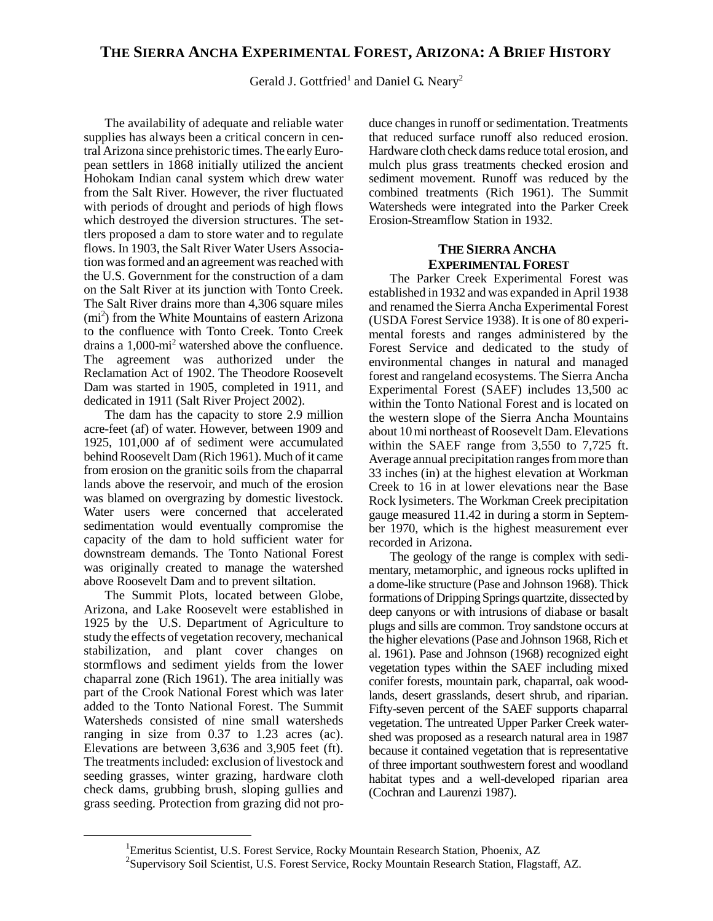# **THE SIERRA ANCHA EXPERIMENTAL FOREST, ARIZONA: A BRIEF HISTORY**

Gerald J. Gottfried<sup>1</sup> and Daniel G. Neary<sup>2</sup>

The availability of adequate and reliable water supplies has always been a critical concern in central Arizona since prehistoric times. The earlyEuropean settlers in 1868 initially utilized the ancient Hohokam Indian canal system which drew water from the Salt River. However, the river fluctuated with periods of drought and periods of high flows which destroyed the diversion structures. The settlers proposed a dam to store water and to regulate flows. In 1903, the Salt River Water Users Association was formed and an agreement was reached with the U.S. Government for the construction of a dam on the Salt River at its junction with Tonto Creek. The Salt River drains more than 4,306 square miles (mi 2 ) from the White Mountains of eastern Arizona to the confluence with Tonto Creek. Tonto Creek drains a 1,000-mi<sup>2</sup> watershed above the confluence. The agreement was authorized under the Reclamation Act of 1902. The Theodore Roosevelt Dam was started in 1905, completed in 1911, and dedicated in 1911 (Salt River Project 2002).

The dam has the capacity to store 2.9 million acre-feet (af) of water. However, between 1909 and 1925, 101,000 af of sediment were accumulated behind Roosevelt Dam (Rich 1961). Much of it came from erosion on the granitic soils from the chaparral lands above the reservoir, and much of the erosion was blamed on overgrazing by domestic livestock. Water users were concerned that accelerated sedimentation would eventually compromise the capacity of the dam to hold sufficient water for downstream demands. The Tonto National Forest was originally created to manage the watershed above Roosevelt Dam and to prevent siltation.

The Summit Plots, located between Globe, Arizona, and Lake Roosevelt were established in 1925 by the U.S. Department of Agriculture to study the effects of vegetation recovery, mechanical stabilization, and plant cover changes on stormflows and sediment yields from the lower chaparral zone (Rich 1961). The area initially was part of the Crook National Forest which was later added to the Tonto National Forest. The Summit Watersheds consisted of nine small watersheds ranging in size from 0.37 to 1.23 acres (ac). Elevations are between 3,636 and 3,905 feet (ft). The treatments included: exclusion of livestock and seeding grasses, winter grazing, hardware cloth check dams, grubbing brush, sloping gullies and grass seeding. Protection from grazing did not produce changes in runoff or sedimentation. Treatments that reduced surface runoff also reduced erosion. Hardware cloth check dams reduce total erosion, and mulch plus grass treatments checked erosion and sediment movement. Runoff was reduced by the combined treatments (Rich 1961). The Summit Watersheds were integrated into the Parker Creek Erosion-Streamflow Station in 1932.

## **THE SIERRA ANCHA EXPERIMENTAL FOREST**

The Parker Creek Experimental Forest was established in 1932 and was expanded in April 1938 and renamed the Sierra Ancha Experimental Forest (USDA Forest Service 1938). It is one of 80 experimental forests and ranges administered by the Forest Service and dedicated to the study of environmental changes in natural and managed forest and rangeland ecosystems. The Sierra Ancha Experimental Forest (SAEF) includes 13,500 ac within the Tonto National Forest and is located on the western slope of the Sierra Ancha Mountains about 10 mi northeast of Roosevelt Dam. Elevations within the SAEF range from 3,550 to 7,725 ft. Average annual precipitation ranges frommore than 33 inches (in) at the highest elevation at Workman Creek to 16 in at lower elevations near the Base Rock lysimeters. The Workman Creek precipitation gauge measured 11.42 in during a storm in September 1970, which is the highest measurement ever recorded in Arizona.

The geology of the range is complex with sedimentary, metamorphic, and igneous rocks uplifted in a dome-like structure (Pase and Johnson 1968). Thick formations of Dripping Springs quartzite, dissected by deep canyons or with intrusions of diabase or basalt plugs and sills are common. Troy sandstone occurs at the higher elevations(Pase and Johnson 1968, Rich et al. 1961). Pase and Johnson (1968) recognized eight vegetation types within the SAEF including mixed conifer forests, mountain park, chaparral, oak woodlands, desert grasslands, desert shrub, and riparian. Fifty-seven percent of the SAEF supports chaparral vegetation. The untreated Upper Parker Creek watershed was proposed as a research natural area in 1987 because it contained vegetation that is representative of three important southwestern forest and woodland habitat types and a well-developed riparian area (Cochran and Laurenzi 1987).

<sup>&</sup>lt;sup>1</sup>Emeritus Scientist, U.S. Forest Service, Rocky Mountain Research Station, Phoenix, AZ

<sup>&</sup>lt;sup>2</sup>Supervisory Soil Scientist, U.S. Forest Service, Rocky Mountain Research Station, Flagstaff, AZ.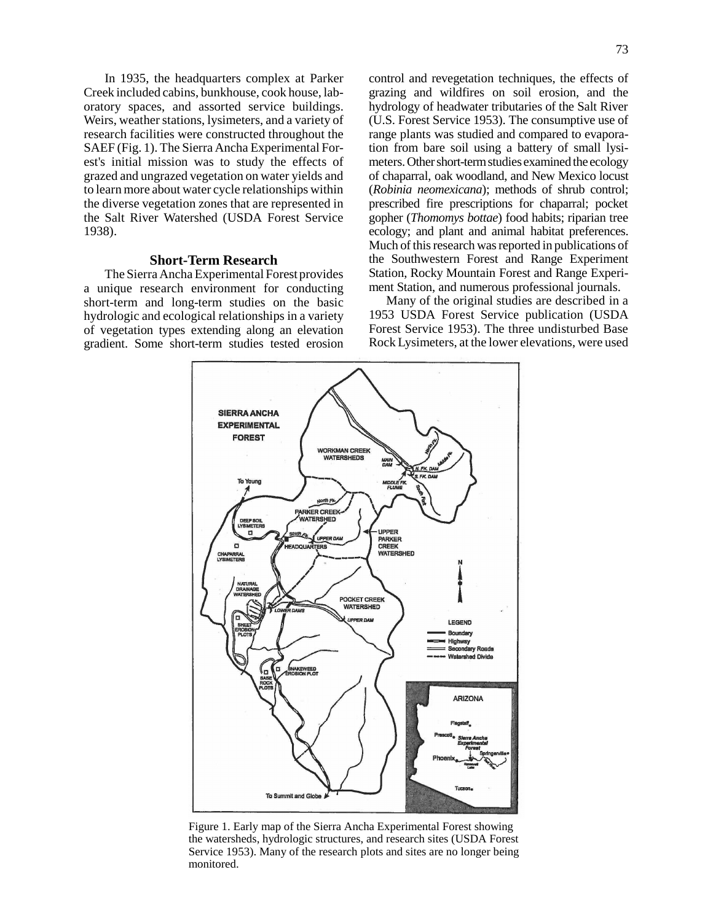In 1935, the headquarters complex at Parker Creek included cabins, bunkhouse, cook house, laboratory spaces, and assorted service buildings. Weirs, weather stations, lysimeters, and a variety of research facilities were constructed throughout the SAEF (Fig. 1). The Sierra Ancha Experimental Forest's initial mission was to study the effects of grazed and ungrazed vegetation on water yields and to learn more about water cycle relationships within the diverse vegetation zones that are represented in the Salt River Watershed (USDA Forest Service 1938).

### **Short-Term Research**

The Sierra Ancha Experimental Forest provides a unique research environment for conducting short-term and long-term studies on the basic hydrologic and ecological relationships in a variety of vegetation types extending along an elevation gradient. Some short-term studies tested erosion

control and revegetation techniques, the effects of grazing and wildfires on soil erosion, and the hydrology of headwater tributaries of the Salt River (U.S. Forest Service 1953). The consumptive use of range plants was studied and compared to evaporation from bare soil using a battery of small lysimeters. Other short-term studies examined the ecology of chaparral, oak woodland, and New Mexico locust (*Robinia neomexicana*); methods of shrub control; prescribed fire prescriptions for chaparral; pocket gopher (*Thomomys bottae*) food habits; riparian tree ecology; and plant and animal habitat preferences. Much of this research was reported in publications of the Southwestern Forest and Range Experiment Station, Rocky Mountain Forest and Range Experiment Station, and numerous professional journals.

Many of the original studies are described in a 1953 USDA Forest Service publication (USDA Forest Service 1953). The three undisturbed Base Rock Lysimeters, at the lower elevations, were used



Figure 1. Early map of the Sierra Ancha Experimental Forest showing the watersheds, hydrologic structures, and research sites (USDA Forest Service 1953). Many of the research plots and sites are no longer being monitored.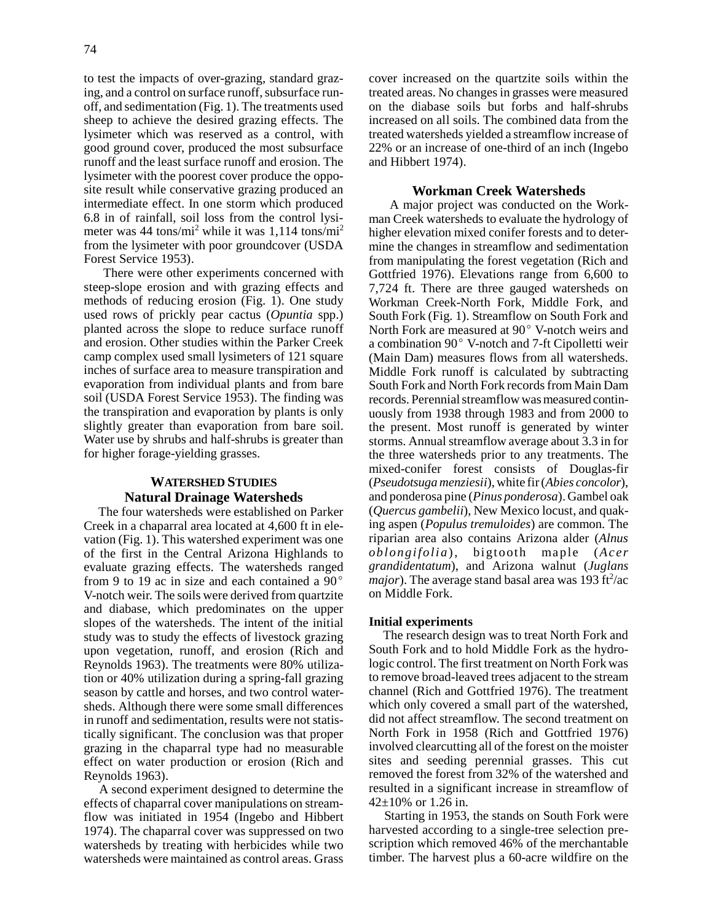to test the impacts of over-grazing, standard grazing, and a control on surface runoff, subsurface runoff, and sedimentation (Fig. 1). The treatments used sheep to achieve the desired grazing effects. The lysimeter which was reserved as a control, with good ground cover, produced the most subsurface runoff and the least surface runoff and erosion. The lysimeter with the poorest cover produce the opposite result while conservative grazing produced an intermediate effect. In one storm which produced 6.8 in of rainfall, soil loss from the control lysimeter was 44 tons/mi<sup>2</sup> while it was 1,114 tons/mi<sup>2</sup> from the lysimeter with poor groundcover (USDA Forest Service 1953).

There were other experiments concerned with steep-slope erosion and with grazing effects and methods of reducing erosion (Fig. 1). One study used rows of prickly pear cactus (*Opuntia* spp.) planted across the slope to reduce surface runoff and erosion. Other studies within the Parker Creek camp complex used small lysimeters of 121 square inches of surface area to measure transpiration and evaporation from individual plants and from bare soil (USDA Forest Service 1953). The finding was the transpiration and evaporation by plants is only slightly greater than evaporation from bare soil. Water use by shrubs and half-shrubs is greater than for higher forage-yielding grasses.

## **WATERSHED STUDIES Natural Drainage Watersheds**

The four watersheds were established on Parker Creek in a chaparral area located at 4,600 ft in elevation (Fig. 1). This watershed experiment was one of the first in the Central Arizona Highlands to evaluate grazing effects. The watersheds ranged from 9 to 19 ac in size and each contained a  $90^{\circ}$ V-notch weir. The soils were derived from quartzite and diabase, which predominates on the upper slopes of the watersheds. The intent of the initial study was to study the effects of livestock grazing upon vegetation, runoff, and erosion (Rich and Reynolds 1963). The treatments were 80% utilization or 40% utilization during a spring-fall grazing season by cattle and horses, and two control watersheds. Although there were some small differences in runoff and sedimentation, results were not statistically significant. The conclusion was that proper grazing in the chaparral type had no measurable effect on water production or erosion (Rich and Reynolds 1963).

A second experiment designed to determine the effects of chaparral cover manipulations on streamflow was initiated in 1954 (Ingebo and Hibbert 1974). The chaparral cover was suppressed on two watersheds by treating with herbicides while two watersheds were maintained as control areas. Grass cover increased on the quartzite soils within the treated areas. No changes in grasses were measured on the diabase soils but forbs and half-shrubs increased on all soils. The combined data from the treated watersheds yielded a streamflow increase of 22% or an increase of one-third of an inch (Ingebo and Hibbert 1974).

## **Workman Creek Watersheds**

A major project was conducted on the Workman Creek watersheds to evaluate the hydrology of higher elevation mixed conifer forests and to determine the changes in streamflow and sedimentation from manipulating the forest vegetation (Rich and Gottfried 1976). Elevations range from 6,600 to 7,724 ft. There are three gauged watersheds on Workman Creek-North Fork, Middle Fork, and South Fork (Fig. 1). Streamflow on South Fork and North Fork are measured at  $90^{\circ}$  V-notch weirs and a combination 90° V-notch and 7-ft Cipolletti weir (Main Dam) measures flows from all watersheds. Middle Fork runoff is calculated by subtracting South Fork and North Fork records from Main Dam records. Perennial streamflow was measured continuously from 1938 through 1983 and from 2000 to the present. Most runoff is generated by winter storms. Annual streamflow average about 3.3 in for the three watersheds prior to any treatments. The mixed-conifer forest consists of Douglas-fir (*Pseudotsuga menziesii*), white fir (*Abies concolor*), and ponderosa pine (*Pinus ponderosa*). Gambel oak (*Quercus gambelii*), New Mexico locust, and quaking aspen (*Populus tremuloides*) are common. The riparian area also contains Arizona alder (*Alnus oblongifolia*), bigtooth maple (*Acer grandidentatum*), and Arizona walnut (*Juglans*  $major$ ). The average stand basal area was 193  $ft²/ac$ on Middle Fork.

## **Initial experiments**

The research design was to treat North Fork and South Fork and to hold Middle Fork as the hydrologic control. The first treatment on North Fork was to remove broad-leaved trees adjacent to the stream channel (Rich and Gottfried 1976). The treatment which only covered a small part of the watershed, did not affect streamflow. The second treatment on North Fork in 1958 (Rich and Gottfried 1976) involved clearcutting all of the forest on the moister sites and seeding perennial grasses. This cut removed the forest from 32% of the watershed and resulted in a significant increase in streamflow of  $42\pm10\%$  or 1.26 in.

 Starting in 1953, the stands on South Fork were harvested according to a single-tree selection prescription which removed 46% of the merchantable timber. The harvest plus a 60-acre wildfire on the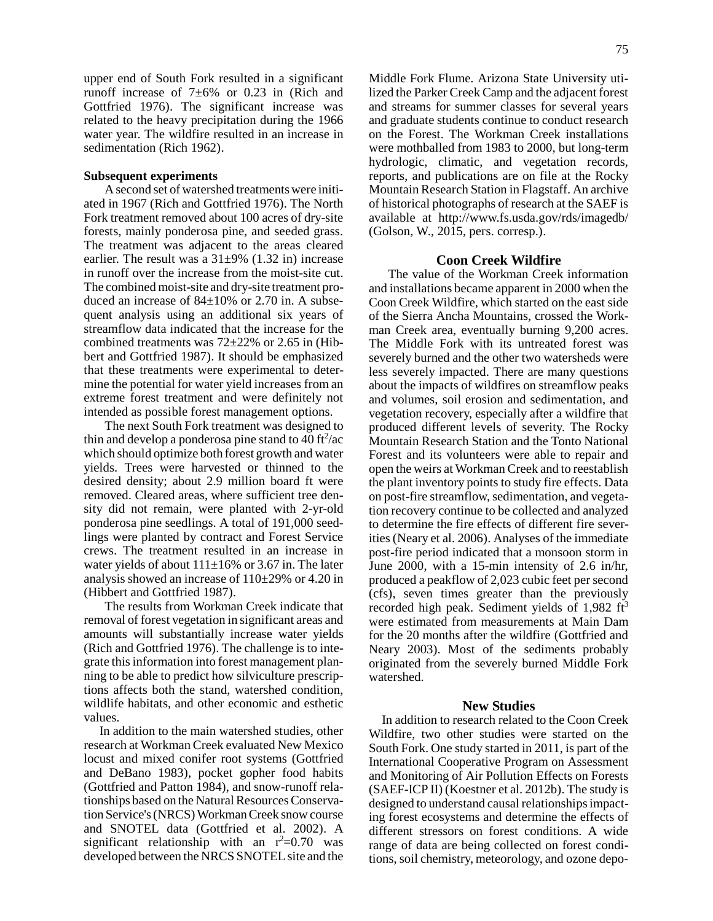upper end of South Fork resulted in a significant runoff increase of  $7\pm6\%$  or 0.23 in (Rich and Gottfried 1976). The significant increase was related to the heavy precipitation during the 1966 water year. The wildfire resulted in an increase in sedimentation (Rich 1962).

#### **Subsequent experiments**

A second set of watershed treatments were initiated in 1967 (Rich and Gottfried 1976). The North Fork treatment removed about 100 acres of dry-site forests, mainly ponderosa pine, and seeded grass. The treatment was adjacent to the areas cleared earlier. The result was a  $31\pm9\%$  (1.32 in) increase in runoff over the increase from the moist-site cut. The combined moist-site and dry-site treatment produced an increase of 84±10% or 2.70 in. A subsequent analysis using an additional six years of streamflow data indicated that the increase for the combined treatments was 72±22% or 2.65 in (Hibbert and Gottfried 1987). It should be emphasized that these treatments were experimental to determine the potential for water yield increases from an extreme forest treatment and were definitely not intended as possible forest management options.

The next South Fork treatment was designed to thin and develop a ponderosa pine stand to  $40 \text{ ft}^2/\text{ac}$ which should optimize both forest growth and water yields. Trees were harvested or thinned to the desired density; about 2.9 million board ft were removed. Cleared areas, where sufficient tree density did not remain, were planted with 2-yr-old ponderosa pine seedlings. A total of 191,000 seedlings were planted by contract and Forest Service crews. The treatment resulted in an increase in water yields of about  $111\pm16\%$  or 3.67 in. The later analysis showed an increase of  $110\pm 29\%$  or 4.20 in (Hibbert and Gottfried 1987).

The results from Workman Creek indicate that removal of forest vegetation in significant areas and amounts will substantially increase water yields (Rich and Gottfried 1976). The challenge is to integrate this information into forest management planning to be able to predict how silviculture prescriptions affects both the stand, watershed condition, wildlife habitats, and other economic and esthetic values.

 In addition to the main watershed studies, other research at Workman Creek evaluated New Mexico locust and mixed conifer root systems (Gottfried and DeBano 1983), pocket gopher food habits (Gottfried and Patton 1984), and snow-runoff relationships based on the Natural Resources Conservation Service's (NRCS)WorkmanCreek snow course and SNOTEL data (Gottfried et al. 2002). A significant relationship with an  $r^2=0.70$  was developed between the NRCS SNOTEL site and the Middle Fork Flume. Arizona State University utilized the Parker Creek Camp and the adjacent forest and streams for summer classes for several years and graduate students continue to conduct research on the Forest. The Workman Creek installations were mothballed from 1983 to 2000, but long-term hydrologic, climatic, and vegetation records, reports, and publications are on file at the Rocky Mountain Research Station in Flagstaff. An archive of historical photographs of research at the SAEF is available at http://www.fs.usda.gov/rds/imagedb/ (Golson, W., 2015, pers. corresp.).

## **Coon Creek Wildfire**

The value of the Workman Creek information and installations became apparent in 2000 when the Coon Creek Wildfire, which started on the east side of the Sierra Ancha Mountains, crossed the Workman Creek area, eventually burning 9,200 acres. The Middle Fork with its untreated forest was severely burned and the other two watersheds were less severely impacted. There are many questions about the impacts of wildfires on streamflow peaks and volumes, soil erosion and sedimentation, and vegetation recovery, especially after a wildfire that produced different levels of severity. The Rocky Mountain Research Station and the Tonto National Forest and its volunteers were able to repair and open the weirs at Workman Creek and to reestablish the plant inventory points to study fire effects. Data on post-fire streamflow, sedimentation, and vegetation recovery continue to be collected and analyzed to determine the fire effects of different fire severities (Neary et al. 2006). Analyses of the immediate post-fire period indicated that a monsoon storm in June 2000, with a 15-min intensity of 2.6 in/hr, produced a peakflow of 2,023 cubic feet per second (cfs), seven times greater than the previously recorded high peak. Sediment yields of 1,982 ft<sup>3</sup> were estimated from measurements at Main Dam for the 20 months after the wildfire (Gottfried and Neary 2003). Most of the sediments probably originated from the severely burned Middle Fork watershed.

#### **New Studies**

In addition to research related to the Coon Creek Wildfire, two other studies were started on the South Fork. One study started in 2011, is part of the International Cooperative Program on Assessment and Monitoring of Air Pollution Effects on Forests (SAEF-ICP II) (Koestner et al. 2012b). The study is designed to understand causal relationships impacting forest ecosystems and determine the effects of different stressors on forest conditions. A wide range of data are being collected on forest conditions, soil chemistry, meteorology, and ozone depo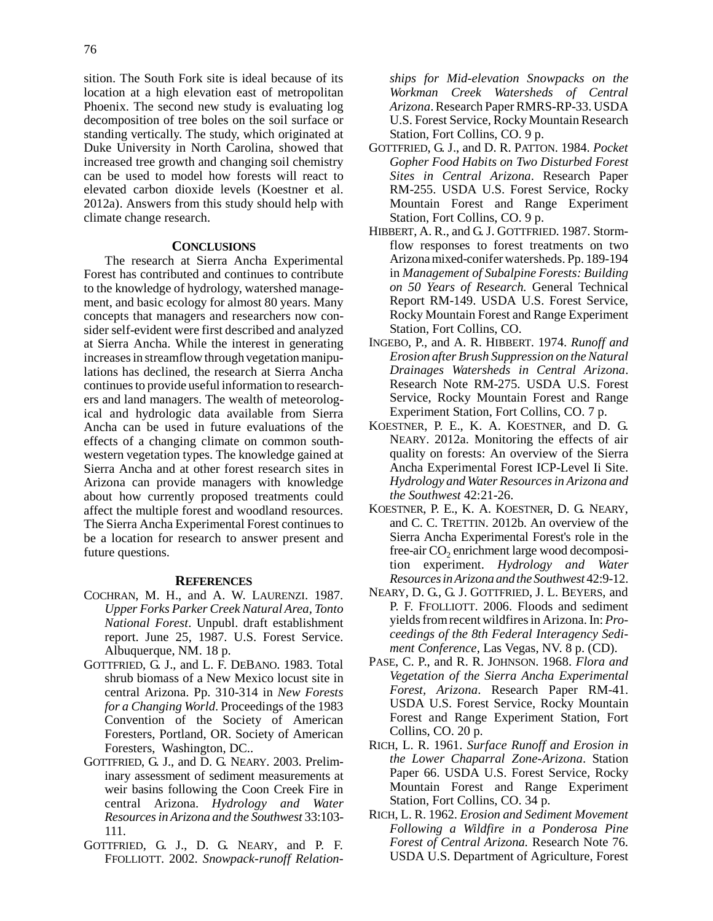sition. The South Fork site is ideal because of its location at a high elevation east of metropolitan Phoenix. The second new study is evaluating log decomposition of tree boles on the soil surface or standing vertically. The study, which originated at Duke University in North Carolina, showed that increased tree growth and changing soil chemistry can be used to model how forests will react to elevated carbon dioxide levels (Koestner et al. 2012a). Answers from this study should help with climate change research.

### **CONCLUSIONS**

The research at Sierra Ancha Experimental Forest has contributed and continues to contribute to the knowledge of hydrology, watershed management, and basic ecology for almost 80 years. Many concepts that managers and researchers now consider self-evident were first described and analyzed at Sierra Ancha. While the interest in generating increases in streamflow through vegetation manipulations has declined, the research at Sierra Ancha continues to provide useful information to researchers and land managers. The wealth of meteorological and hydrologic data available from Sierra Ancha can be used in future evaluations of the effects of a changing climate on common southwestern vegetation types. The knowledge gained at Sierra Ancha and at other forest research sites in Arizona can provide managers with knowledge about how currently proposed treatments could affect the multiple forest and woodland resources. The Sierra Ancha Experimental Forest continues to be a location for research to answer present and future questions.

## **REFERENCES**

- COCHRAN, M. H., and A. W. LAURENZI. 1987. *Upper Forks Parker Creek Natural Area, Tonto National Forest*. Unpubl. draft establishment report. June 25, 1987. U.S. Forest Service. Albuquerque, NM. 18 p.
- GOTTFRIED, G. J., and L. F. DEBANO. 1983. Total shrub biomass of a New Mexico locust site in central Arizona. Pp. 310-314 in *New Forests for a Changing World*. Proceedings of the 1983 Convention of the Society of American Foresters, Portland, OR. Society of American Foresters, Washington, DC..
- GOTTFRIED, G. J., and D. G. NEARY. 2003. Preliminary assessment of sediment measurements at weir basins following the Coon Creek Fire in central Arizona. *Hydrology and Water Resourcesin Arizona and the Southwest* 33:103- 111.
- GOTTFRIED, G. J., D. G. NEARY, and P. F. FFOLLIOTT. 2002. *Snowpack-runoff Relation-*

*ships for Mid-elevation Snowpacks on the Workman Creek Watersheds of Central Arizona*. Research Paper RMRS-RP-33. USDA U.S. Forest Service, Rocky Mountain Research Station, Fort Collins, CO. 9 p.

- GOTTFRIED, G. J., and D. R. PATTON. 1984. *Pocket Gopher Food Habits on Two Disturbed Forest Sites in Central Arizona*. Research Paper RM-255. USDA U.S. Forest Service, Rocky Mountain Forest and Range Experiment Station, Fort Collins, CO. 9 p.
- HIBBERT, A. R., and G. J. GOTTFRIED. 1987. Stormflow responses to forest treatments on two Arizonamixed-conifer watersheds. Pp. 189-194 in *Management of Subalpine Forests: Building on 50 Years of Research.* General Technical Report RM-149. USDA U.S. Forest Service, Rocky Mountain Forest and Range Experiment Station, Fort Collins, CO.
- INGEBO, P., and A. R. HIBBERT. 1974. *Runoff and Erosion after Brush Suppression on the Natural Drainages Watersheds in Central Arizona*. Research Note RM-275. USDA U.S. Forest Service, Rocky Mountain Forest and Range Experiment Station, Fort Collins, CO. 7 p.
- KOESTNER, P. E., K. A. KOESTNER, and D. G. NEARY. 2012a. Monitoring the effects of air quality on forests: An overview of the Sierra Ancha Experimental Forest ICP-Level Ii Site. *Hydrology and Water Resources in Arizona and the Southwest* 42:21-26.
- KOESTNER, P. E., K. A. KOESTNER, D. G. NEARY, and C. C. TRETTIN. 2012b. An overview of the Sierra Ancha Experimental Forest's role in the free-air  $CO<sub>2</sub>$  enrichment large wood decomposition experiment. *Hydrology and Water ResourcesinArizona and the Southwest* 42:9-12.
- NEARY, D. G., G. J. GOTTFRIED, J. L. BEYERS, and P. F. FFOLLIOTT. 2006. Floods and sediment yields fromrecent wildfires in Arizona. In: *Proceedings of the 8th Federal Interagency Sediment Conference*, Las Vegas, NV. 8 p. (CD).
- PASE, C. P., and R. R. JOHNSON. 1968. *Flora and Vegetation of the Sierra Ancha Experimental Forest, Arizona*. Research Paper RM-41. USDA U.S. Forest Service, Rocky Mountain Forest and Range Experiment Station, Fort Collins, CO. 20 p.
- RICH, L. R. 1961. *Surface Runoff and Erosion in the Lower Chaparral Zone-Arizona*. Station Paper 66. USDA U.S. Forest Service, Rocky Mountain Forest and Range Experiment Station, Fort Collins, CO. 34 p.
- RICH, L. R. 1962. *Erosion and Sediment Movement Following a Wildfire in a Ponderosa Pine Forest of Central Arizona.* Research Note 76. USDA U.S. Department of Agriculture, Forest